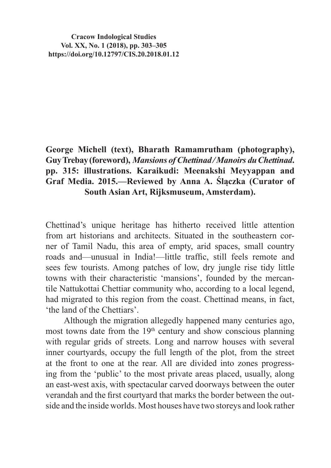**Cracow Indological Studies Vol. XX, No. 1 (2018), pp. 303–305 https://doi.org/10.12797/CIS.20.2018.01.12**

## **George Michell (text), Bharath Ramamrutham (photography), Guy Trebay (foreword),** *Mansions ofChettinad / Manoirs duChettinad***. pp. 315: illustrations. Karaikudi: Meenakshi Meyyappan and Graf Media. 2015.—Reviewed by Anna A. Ślączka (Curator of South Asian Art, Rijksmuseum, Amsterdam).**

Chettinad's unique heritage has hitherto received little attention from art historians and architects. Situated in the southeastern corner of Tamil Nadu, this area of empty, arid spaces, small country roads and—unusual in India!—little traffic, still feels remote and sees few tourists. Among patches of low, dry jungle rise tidy little towns with their characteristic 'mansions', founded by the mercantile Nattukottai Chettiar community who, according to a local legend, had migrated to this region from the coast. Chettinad means, in fact, 'the land of the Chettiars'.

Although the migration allegedly happened many centuries ago, most towns date from the  $19<sup>th</sup>$  century and show conscious planning with regular grids of streets. Long and narrow houses with several inner courtyards, occupy the full length of the plot, from the street at the front to one at the rear. All are divided into zones progressing from the 'public' to the most private areas placed, usually, along an east-west axis, with spectacular carved doorways between the outer verandah and the first courtyard that marks the border between the outside and the inside worlds. Most houses have two storeys and look rather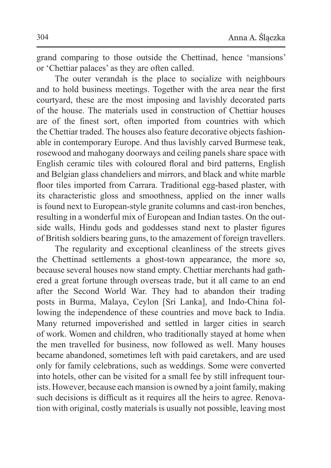grand comparing to those outside the Chettinad, hence 'mansions' or 'Chettiar palaces' as they are often called.

The outer verandah is the place to socialize with neighbours and to hold business meetings. Together with the area near the first courtyard, these are the most imposing and lavishly decorated parts of the house. The materials used in construction of Chettiar houses are of the finest sort, often imported from countries with which the Chettiar traded. The houses also feature decorative objects fashionable in contemporary Europe. And thus lavishly carved Burmese teak, rosewood and mahogany doorways and ceiling panels share space with English ceramic tiles with coloured floral and bird patterns, English and Belgian glass chandeliers and mirrors, and black and white marble floor tiles imported from Carrara. Traditional egg-based plaster, with its characteristic gloss and smoothness, applied on the inner walls is found next to European-style granite columns and cast-iron benches, resulting in a wonderful mix of European and Indian tastes. On the outside walls, Hindu gods and goddesses stand next to plaster figures of British soldiers bearing guns, to the amazement of foreign travellers.

The regularity and exceptional cleanliness of the streets gives the Chettinad settlements a ghost-town appearance, the more so, because several houses now stand empty. Chettiar merchants had gathered a great fortune through overseas trade, but it all came to an end after the Second World War. They had to abandon their trading posts in Burma, Malaya, Ceylon [Sri Lanka], and Indo-China following the independence of these countries and move back to India. Many returned impoverished and settled in larger cities in search of work. Women and children, who traditionally stayed at home when the men travelled for business, now followed as well. Many houses became abandoned, sometimes left with paid caretakers, and are used only for family celebrations, such as weddings. Some were converted into hotels, other can be visited for a small fee by still infrequent tourists. However, because each mansion is owned by a joint family, making such decisions is difficult as it requires all the heirs to agree. Renovation with original, costly materials is usually not possible, leaving most